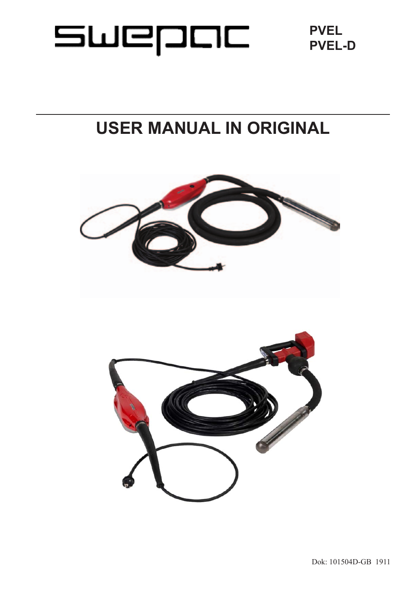# SWEDOC

**PVEL PVEL-D**

# **USER MANUAL IN ORIGINAL**

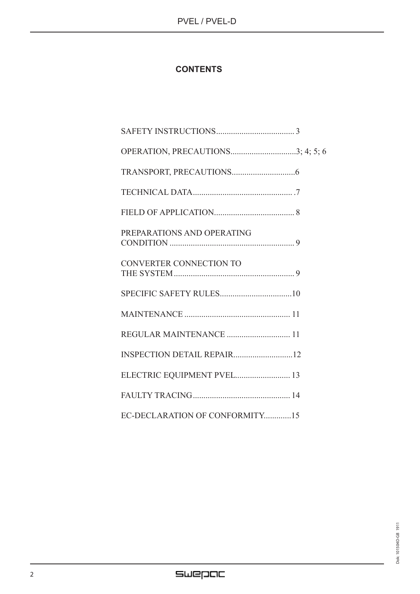# **CONTENTS**

| PREPARATIONS AND OPERATING     |
|--------------------------------|
| <b>CONVERTER CONNECTION TO</b> |
|                                |
|                                |
| REGULAR MAINTENANCE  11        |
|                                |
| ELECTRIC EQUIPMENT PVEL 13     |
|                                |
| EC-DECLARATION OF CONFORMITY15 |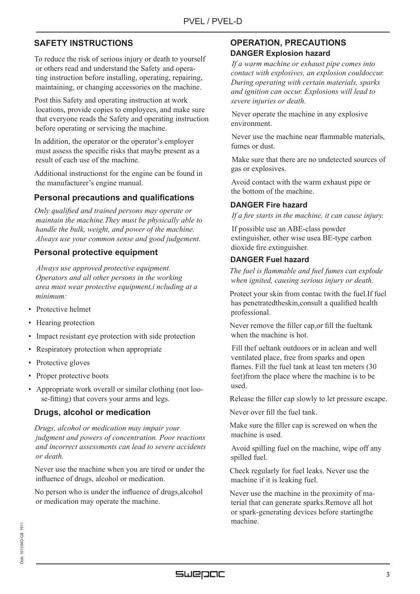# **SAFETY INSTRUCTIONS**

 To reduce the risk of serious injury or death to yourself or others read and understand the Safety and operating instruction before installing, operating, repairing, maintaining, or changing accessories on the machine.

 Post this Safety and operating instruction at work locations, provide copies to employees, and make sure that everyone reads the Safety and operating instruction before operating or servicing the machine.

 In addition, the operator or the operator's employer must assess the specific risks that maybe present as a result of each use of the machine.

 Additional instructionst for the engine can be found in the manufacturer's engine manual.

#### **Personal precautions and qualifications**

 *Only qualified and trained persons may operate or maintain the machine.They must be physically able to handle the bulk, weight, and power of the machine. Always use your common sense and good judgement.*

#### **Personal protective equipment**

 *Always use approved protective equipment. Operators and all other persons in the working area must wear protective equipment,i ncluding at a minimum:*

- Protective helmet
- Hearing protection
- Impact resistant eye protection with side protection
- Respiratory protection when appropriate
- Protective gloves
- Proper protective boots
- Appropriate work overall or similar clothing (not loose-fitting) that covers your arms and legs.

### **Drugs, alcohol or medication**

 *Drugs, alcohol or medication may impair your judgment and powers of concentration. Poor reactions and incorrect assessments can lead to severe accidents or death.*

 Never use the machine when you are tired or under the influence of drugs, alcohol or medication.

 No person who is under the influence of drugs,alcohol or medication may operate the machine.

# **OPERATION, PRECAUTIONS DANGER Explosion hazard**

 *If a warm machine or exhaust pipe comes into contact with explosives, an explosion couldoccur. During operating with certain materials, sparks and ignition can occur. Explosions will lead to severe injuries or death.* 

 Never operate the machine in any explosive environment.

 Never use the machine near flammable materials, fumes or dust.

 Make sure that there are no undetected sources of gas or explosives.

 Avoid contact with the warm exhaust pipe or the bottom of the machine.

#### **DANGER Fire hazard**

*If a fire starts in the machine, it can cause injury.*

 If possible use an ABE-class powder extinguisher, other wise usea BE-type carbon dioxide fire extinguisher.

#### **DANGER Fuel hazard**

 *The fuel is flammable and fuel fumes can explode when ignited, causing serious injury or death.*

 Protect your skin from contac twith the fuel.If fuel has penetratedtheskin,consult a qualified health professional.

 Never remove the filler cap,or fill the fueltank when the machine is hot.

 Fill thef ueltank outdoors or in aclean and well ventilated place, free from sparks and open flames. Fill the fuel tank at least ten meters (30 feet)from the place where the machine is to be used.

Release the filler cap slowly to let pressure escape.

Never over fill the fuel tank.

 Make sure the filler cap is screwed on when the machine is used.

 Avoid spilling fuel on the machine, wipe off any spilled fuel.

 Check regularly for fuel leaks. Never use the machine if it is leaking fuel.

 Never use the machine in the proximity of material that can generate sparks.Remove all hot or spark-generating devices before startingthe machine.

# SWEDOC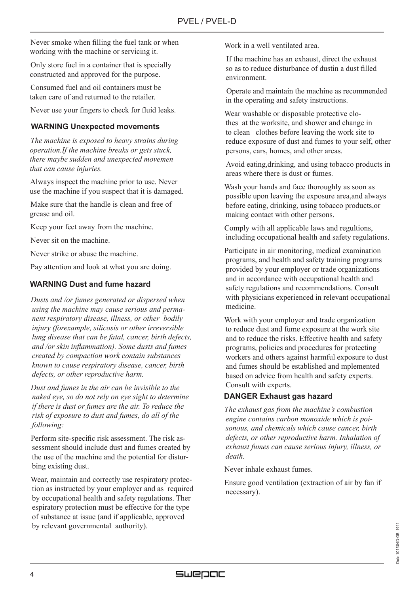Never smoke when filling the fuel tank or when working with the machine or servicing it.

 Only store fuel in a container that is specially constructed and approved for the purpose.

 Consumed fuel and oil containers must be taken care of and returned to the retailer.

Never use your fingers to check for fluid leaks.

#### **WARNING Unexpected movements**

 *The machine is exposed to heavy strains during operation.If the machine breaks or gets stuck, there maybe sudden and unexpected movemen that can cause injuries.*

 Always inspect the machine prior to use. Never use the machine if you suspect that it is damaged.

 Make sure that the handle is clean and free of grease and oil.

Keep your feet away from the machine.

Never sit on the machine.

Never strike or abuse the machine.

Pay attention and look at what you are doing.

#### **WARNING Dust and fume hazard**

 *Dusts and /or fumes generated or dispersed when using the machine may cause serious and permanent respiratory disease, illness, or other bodily injury (forexample, silicosis or other irreversible lung disease that can be fatal, cancer, birth defects, and /or skin inflammation). Some dusts and fumes created by compaction work contain substances known to cause respiratory disease, cancer, birth defects, or other reproductive harm.*

 *Dust and fumes in the air can be invisible to the naked eye, so do not rely on eye sight to determine if there is dust or fumes are the air. To reduce the risk of exposure to dust and fumes, do all of the following:*

 Perform site-specific risk assessment. The risk assessment should include dust and fumes created by the use of the machine and the potential for disturbing existing dust.

 Wear, maintain and correctly use respiratory protection as instructed by your employer and as required by occupational health and safety regulations. Ther espiratory protection must be effective for the type of substance at issue (and if applicable, approved by relevant governmental authority).

Work in a well ventilated area.

 If the machine has an exhaust, direct the exhaust so as to reduce disturbance of dustin a dust filled environment.

 Operate and maintain the machine as recommended in the operating and safety instructions.

 Wear washable or disposable protective clothes at the worksite, and shower and change in to clean clothes before leaving the work site to reduce exposure of dust and fumes to your self, other persons, cars, homes, and other areas.

 Avoid eating,drinking, and using tobacco products in areas where there is dust or fumes.

 Wash your hands and face thoroughly as soon as possible upon leaving the exposure area,and always before eating, drinking, using tobacco products,or making contact with other persons.

 Comply with all applicable laws and regultions, including occupational health and safety regulations.

 Participate in air monitoring, medical examination programs, and health and safety training programs provided by your employer or trade organizations and in accordance with occupational health and safety regulations and recommendations. Consult with physicians experienced in relevant occupational medicine.

 Work with your employer and trade organization to reduce dust and fume exposure at the work site and to reduce the risks. Effective health and safety programs, policies and procedures for protecting workers and others against harmful exposure to dust and fumes should be established and mplemented based on advice from health and safety experts. Consult with experts.

#### **DANGER Exhaust gas hazard**

 *The exhaust gas from the machine's combustion engine contains carbon monoxide which is poisonous, and chemicals which cause cancer, birth defects, or other reproductive harm. Inhalation of exhaust fumes can cause serious injury, illness, or death.*

Never inhale exhaust fumes.

 Ensure good ventilation (extraction of air by fan if necessary).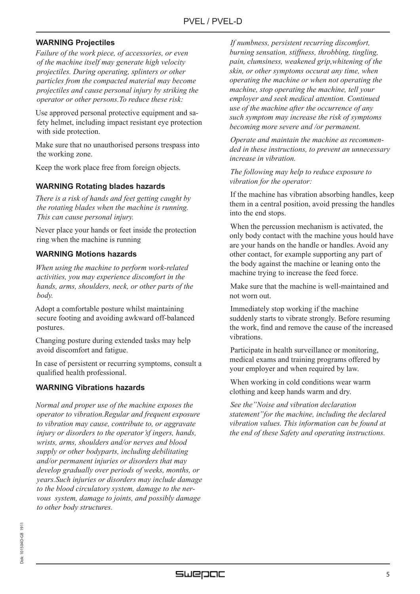#### **WARNING Projectiles**

 *Failure of the work piece, of accessories, or even of the machine itself may generate high velocity projectiles. During operating, splinters or other particles from the compacted material may become projectiles and cause personal injury by striking the operator or other persons.To reduce these risk:*

 Use approved personal protective equipment and safety helmet, including impact resistant eye protection with side protection.

 Make sure that no unauthorised persons trespass into the working zone.

Keep the work place free from foreign objects.

#### **WARNING Rotating blades hazards**

 *There is a risk of hands and feet getting caught by the rotating blades when the machine is running. This can cause personal injury.*

Never place your hands or feet inside the protection ring when the machine is running

#### **WARNING Motions hazards**

 *When using the machine to perform work-related activities, you may experience discomfort in the hands, arms, shoulders, neck, or other parts of the body.*

 Adopt a comfortable posture whilst maintaining secure footing and avoiding awkward off-balanced postures.

 Changing posture during extended tasks may help avoid discomfort and fatigue.

 In case of persistent or recurring symptoms, consult a qualified health professional.

#### **WARNING Vibrations hazards**

 *Normal and proper use of the machine exposes the operator to vibration.Regular and frequent exposure to vibration may cause, contribute to, or aggravate injury or disorders to the operator'sf ingers, hands, wrists, arms, shoulders and/or nerves and blood supply or other bodyparts, including debilitating and/or permanent injuries or disorders that may develop gradually over periods of weeks, months, or years.Such injuries or disorders may include damage to the blood circulatory system, damage to the nervous system, damage to joints, and possibly damage to other body structures.*

 *If numbness, persistent recurring discomfort, burning sensation, stiffness, throbbing, tingling, pain, clumsiness, weakened grip,whitening of the skin, or other symptoms occurat any time, when operating the machine or when not operating the machine, stop operating the machine, tell your employer and seek medical attention. Continued use of the machine after the occurrence of any such symptom may increase the risk of symptoms becoming more severe and /or permanent.* 

 *Operate and maintain the machine as recommended in these instructions, to prevent an unnecessary increase in vibration.*

 *The following may help to reduce exposure to vibration for the operator:*

If the machine has vibration absorbing handles, keep them in a central position, avoid pressing the handles into the end stops.

 When the percussion mechanism is activated, the only body contact with the machine yous hould have are your hands on the handle or handles. Avoid any other contact, for example supporting any part of the body against the machine or leaning onto the machine trying to increase the feed force.

 Make sure that the machine is well-maintained and not worn out.

 Immediately stop working if the machine suddenly starts to vibrate strongly. Before resuming the work, find and remove the cause of the increased vibrations.

 Participate in health surveillance or monitoring, medical exams and training programs offered by your employer and when required by law.

 When working in cold conditions wear warm clothing and keep hands warm and dry.

 *See the"Noise and vibration declaration statement"for the machine, including the declared vibration values. This information can be found at the end of these Safety and operating instructions.*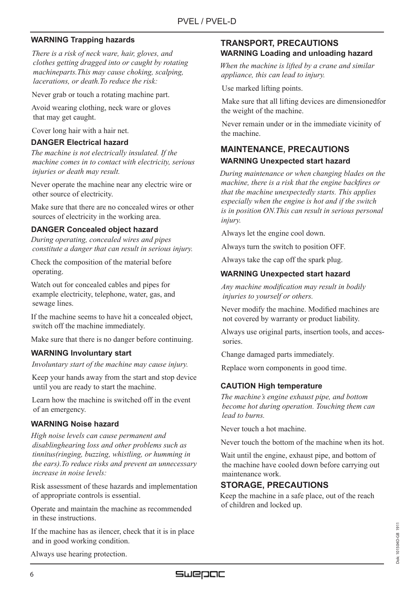#### **WARNING Trapping hazards**

 *There is a risk of neck ware, hair, gloves, and clothes getting dragged into or caught by rotating machineparts.This may cause choking, scalping, lacerations, or death.To reduce the risk:*

Never grab or touch a rotating machine part.

 Avoid wearing clothing, neck ware or gloves that may get caught.

Cover long hair with a hair net.

#### **DANGER Electrical hazard**

 *The machine is not electrically insulated. If the machine comes in to contact with electricity, serious injuries or death may result.* 

 Never operate the machine near any electric wire or other source of electricity.

 Make sure that there are no concealed wires or other sources of electricity in the working area.

#### **DANGER Concealed object hazard**

 *During operating, concealed wires and pipes constitute a danger that can result in serious injury.*

 Check the composition of the material before operating.

 Watch out for concealed cables and pipes for example electricity, telephone, water, gas, and sewage lines.

 If the machine seems to have hit a concealed object, switch off the machine immediately.

Make sure that there is no danger before continuing.

#### **WARNING Involuntary start**

 *Involuntary start of the machine may cause injury.*

 Keep your hands away from the start and stop device until you are ready to start the machine.

 Learn how the machine is switched off in the event of an emergency.

#### **WARNING Noise hazard**

 *High noise levels can cause permanent and disablinghearing loss and other problems such as tinnitus(ringing, buzzing, whistling, or humming in the ears).To reduce risks and prevent an unnecessary increase in noise levels:*

 Risk assessment of these hazards and implementation of appropriate controls is essential.

 Operate and maintain the machine as recommended in these instructions.

 If the machine has as ilencer, check that it is in place and in good working condition.

#### **TRANSPORT, PRECAUTIONS WARNING Loading and unloading hazard**

 *When the machine is lifted by a crane and similar appliance, this can lead to injury.*

Use marked lifting points.

 Make sure that all lifting devices are dimensionedfor the weight of the machine.

 Never remain under or in the immediate vicinity of the machine.

# **MAINTENANCE, PRECAUTIONS WARNING Unexpected start hazard**

 *During maintenance or when changing blades on the machine, there is a risk that the engine backfires or that the machine unexpectedly starts. This applies especially when the engine is hot and if the switch is in position ON.This can result in serious personal injury.* 

Always let the engine cool down.

Always turn the switch to position OFF.

Always take the cap off the spark plug.

#### **WARNING Unexpected start hazard**

 *Any machine modification may result in bodily injuries to yourself or others.*

 Never modify the machine. Modified machines are not covered by warranty or product liability.

 Always use original parts, insertion tools, and accessories.

Change damaged parts immediately.

Replace worn components in good time.

#### **CAUTION High temperature**

 *The machine's engine exhaust pipe, and bottom become hot during operation. Touching them can lead to burns.*

Never touch a hot machine.

Never touch the bottom of the machine when its hot.

 Wait until the engine, exhaust pipe, and bottom of the machine have cooled down before carrying out maintenance work.

### **STORAGE, PRECAUTIONS**

 Keep the machine in a safe place, out of the reach of children and locked up.

> 1911 Dok: 101504D-GB 1911 101504D-GB bok:

Always use hearing protection.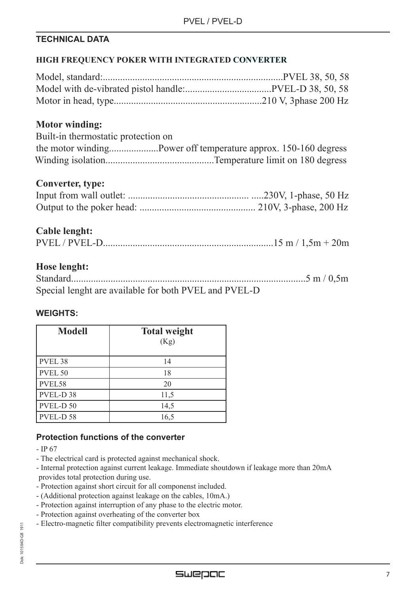# **TECHNICAL DATA**

# **HIGH FREQUENCY POKER WITH INTEGRATED CONVERTER**

# **Motor winding:**

| Built-in thermostatic protection on |                                                                |
|-------------------------------------|----------------------------------------------------------------|
|                                     | the motor windingPower off temperature approx. 150-160 degress |
|                                     |                                                                |

# **Converter, type:**

# **Cable lenght:**

# **Hose lenght:**

| Special lenght are available for both PVEL and PVEL-D |  |
|-------------------------------------------------------|--|

# **WEIGHTS:**

| <b>Modell</b>        | <b>Total weight</b><br>(Kg) |
|----------------------|-----------------------------|
| PVEL <sub>38</sub>   | 14                          |
| PVEL <sub>50</sub>   | 18                          |
| PVEL58               | 20                          |
| PVEL-D <sub>38</sub> | 11,5                        |
| PVEL-D 50            | 14,5                        |
| PVEL-D 58            | 16,5                        |

# **Protection functions of the converter**

- IP 67
- The electrical card is protected against mechanical shock.
- Internal protection against current leakage. Immediate shoutdown if leakage more than 20mA provides total protection during use.
- Protection against short circuit for all componenst included.
- (Additional protection against leakage on the cables, 10mA.)
- Protection against interruption of any phase to the electric motor.
- Protection against overheating of the converter box
- Electro-magnetic filter compatibility prevents electromagnetic interference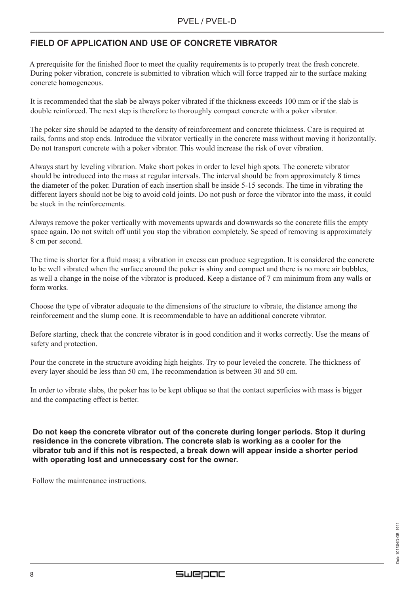# **FIELD OF APPLICATION AND USE OF CONCRETE VIBRATOR**

A prerequisite for the finished floor to meet the quality requirements is to properly treat the fresh concrete. During poker vibration, concrete is submitted to vibration which will force trapped air to the surface making concrete homogeneous.

It is recommended that the slab be always poker vibrated if the thickness exceeds 100 mm or if the slab is double reinforced. The next step is therefore to thoroughly compact concrete with a poker vibrator.

The poker size should be adapted to the density of reinforcement and concrete thickness. Care is required at rails, forms and stop ends. Introduce the vibrator vertically in the concrete mass without moving it horizontally. Do not transport concrete with a poker vibrator. This would increase the risk of over vibration.

Always start by leveling vibration. Make short pokes in order to level high spots. The concrete vibrator should be introduced into the mass at regular intervals. The interval should be from approximately 8 times the diameter of the poker. Duration of each insertion shall be inside 5-15 seconds. The time in vibrating the different layers should not be big to avoid cold joints. Do not push or force the vibrator into the mass, it could be stuck in the reinforcements.

Always remove the poker vertically with movements upwards and downwards so the concrete fills the empty space again. Do not switch off until you stop the vibration completely. Se speed of removing is approximately 8 cm per second.

The time is shorter for a fluid mass; a vibration in excess can produce segregation. It is considered the concrete to be well vibrated when the surface around the poker is shiny and compact and there is no more air bubbles, as well a change in the noise of the vibrator is produced. Keep a distance of 7 cm minimum from any walls or form works.

Choose the type of vibrator adequate to the dimensions of the structure to vibrate, the distance among the reinforcement and the slump cone. It is recommendable to have an additional concrete vibrator.

Before starting, check that the concrete vibrator is in good condition and it works correctly. Use the means of safety and protection.

Pour the concrete in the structure avoiding high heights. Try to pour leveled the concrete. The thickness of every layer should be less than 50 cm, The recommendation is between 30 and 50 cm.

In order to vibrate slabs, the poker has to be kept oblique so that the contact superficies with mass is bigger and the compacting effect is better.

**Do not keep the concrete vibrator out of the concrete during longer periods. Stop it during residence in the concrete vibration. The concrete slab is working as a cooler for the vibrator tub and if this not is respected, a break down will appear inside a shorter period with operating lost and unnecessary cost for the owner.**

Follow the maintenance instructions.

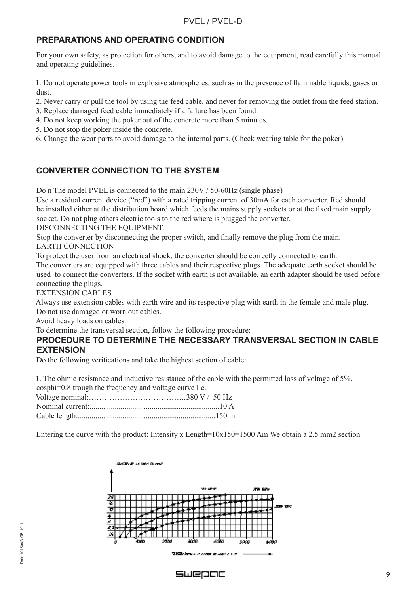# **PREPARATIONS AND OPERATING CONDITION**

For your own safety, as protection for others, and to avoid damage to the equipment, read carefully this manual and operating guidelines.

1. Do not operate power tools in explosive atmospheres, such as in the presence of flammable liquids, gases or dust.

2. Never carry or pull the tool by using the feed cable, and never for removing the outlet from the feed station.

- 3. Replace damaged feed cable immediately if a failure has been found.
- 4. Do not keep working the poker out of the concrete more than 5 minutes.
- 5. Do not stop the poker inside the concrete.
- 6. Change the wear parts to avoid damage to the internal parts. (Check wearing table for the poker)

# **CONVERTER CONNECTION TO THE SYSTEM**

Do n The model PVEL is connected to the main 230V / 50-60Hz (single phase)

Use a residual current device ("rcd") with a rated tripping current of 30mA for each converter. Rcd should be installed either at the distribution board which feeds the mains supply sockets or at the fixed main supply socket. Do not plug others electric tools to the rcd where is plugged the converter.

DISCONNECTING THE EQUIPMENT.

Stop the converter by disconnecting the proper switch, and finally remove the plug from the main. EARTH CONNECTION

To protect the user from an electrical shock, the converter should be correctly connected to earth.

The converters are equipped with three cables and their respective plugs. The adequate earth socket should be used to connect the converters. If the socket with earth is not available, an earth adapter should be used before connecting the plugs.

EXTENSION CABLES

Always use extension cables with earth wire and its respective plug with earth in the female and male plug. Do not use damaged or worn out cables.

Avoid heavy loads on cables.

To determine the transversal section, follow the following procedure:

#### **PROCEDURE TO DETERMINE THE NECESSARY TRANSVERSAL SECTION IN CABLE EXTENSION**

Do the following verifications and take the highest section of cable:

1. The ohmic resistance and inductive resistance of the cable with the permitted loss of voltage of 5%,

| cosphi=0.8 trough the frequency and voltage curve I.e. |  |
|--------------------------------------------------------|--|
|                                                        |  |
|                                                        |  |
|                                                        |  |

Entering the curve with the product: Intensity x Length= $10x150=1500$  Am We obtain a 2.5 mm2 section



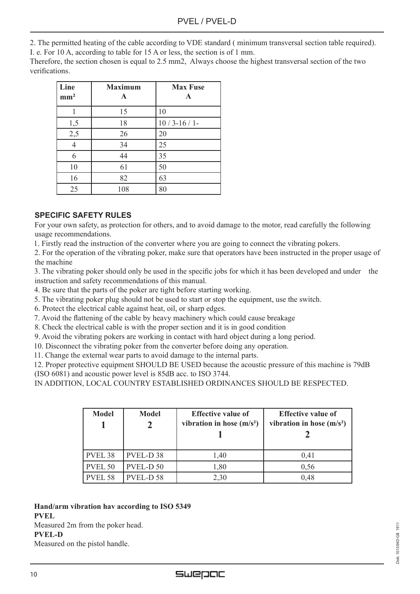2. The permitted heating of the cable according to VDE standard ( minimum transversal section table required).

I. e. For 10 A, according to table for 15 A or less, the section is of 1 mm.

Therefore, the section chosen is equal to 2.5 mm2, Always choose the highest transversal section of the two verifications.

| Line<br>mm <sup>2</sup> | <b>Maximum</b><br>A | <b>Max Fuse</b><br>A |
|-------------------------|---------------------|----------------------|
|                         | 15                  | 10                   |
| 1,5                     | 18                  | $10/3 - 16/1$        |
| 2,5                     | 26                  | 20                   |
| 4                       | 34                  | 25                   |
| 6                       | 44                  | 35                   |
| 10                      | 61                  | 50                   |
| 16                      | 82                  | 63                   |
| 25                      | 108                 | 80                   |

#### **SPECIFIC SAFETY RULES**

For your own safety, as protection for others, and to avoid damage to the motor, read carefully the following usage recommendations.

1. Firstly read the instruction of the converter where you are going to connect the vibrating pokers.

2. For the operation of the vibrating poker, make sure that operators have been instructed in the proper usage of the machine

3. The vibrating poker should only be used in the specific jobs for which it has been developed and under the instruction and safety recommendations of this manual.

- 4. Be sure that the parts of the poker are tight before starting working.
- 5. The vibrating poker plug should not be used to start or stop the equipment, use the switch.
- 6. Protect the electrical cable against heat, oil, or sharp edges.
- 7. Avoid the flattening of the cable by heavy machinery which could cause breakage
- 8. Check the electrical cable is with the proper section and it is in good condition
- 9. Avoid the vibrating pokers are working in contact with hard object during a long period.
- 10. Disconnect the vibrating poker from the converter before doing any operation.
- 11. Change the external wear parts to avoid damage to the internal parts.

12. Proper protective equipment SHOULD BE USED because the acoustic pressure of this machine is 79dB (ISO 6081) and acoustic power level is 85dB acc. to ISO 3744.

IN ADDITION, LOCAL COUNTRY ESTABLISHED ORDINANCES SHOULD BE RESPECTED.

| <b>Model</b> | <b>Model</b>         | <b>Effective value of</b><br>vibration in hose $(m/s2)$ | <b>Effective value of</b><br>vibration in hose $(m/s2)$ |
|--------------|----------------------|---------------------------------------------------------|---------------------------------------------------------|
| PVEL 38      | PVEL-D <sub>38</sub> | 1,40                                                    | 0,41                                                    |
| PVEL 50      | PVEL-D <sub>50</sub> | 1,80                                                    | 0,56                                                    |
| PVEL 58      | PVEL-D <sub>58</sub> | 2,30                                                    | 0,48                                                    |

#### **Hand/arm vibration hav according to ISO 5349 PVEL**  Measured 2m from the poker head.

**PVEL-D**

Measured on the pistol handle.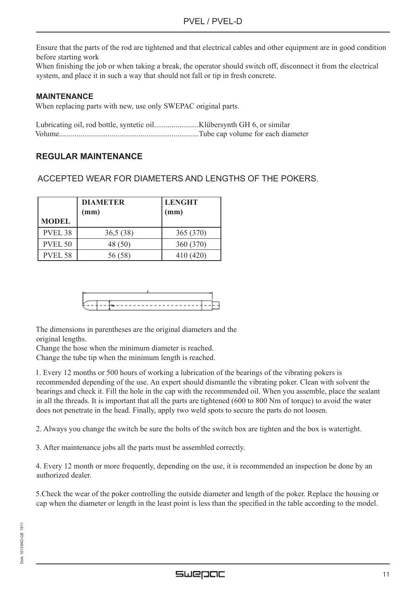Ensure that the parts of the rod are tightened and that electrical cables and other equipment are in good condition before starting work

When finishing the job or when taking a break, the operator should switch off, disconnect it from the electrical system, and place it in such a way that should not fall or tip in fresh concrete.

#### **MAINTENANCE**

When replacing parts with new, use only SWEPAC original parts.

Lubricating oil, rod bottle, syntetic oil.......................Klübersynth GH 6, or similar Volume........................................................................Tube cap volume for each diameter

### **REGULAR MAINTENANCE**

ACCEPTED WEAR FOR DIAMETERS AND LENGTHS OF THE POKERS.

| <b>MODEL</b>       | <b>DIAMETER</b><br>(mm) | <b>LENGHT</b><br>(mm) |  |  |
|--------------------|-------------------------|-----------------------|--|--|
| PVEL <sub>38</sub> | 36,5(38)                | 365 (370)             |  |  |
| <b>PVEL 50</b>     | 48 (50)                 | 360 (370)             |  |  |
| PVEL <sub>58</sub> | 56 (58)                 | 410 (420)             |  |  |

The dimensions in parentheses are the original diameters and the original lengths.

Change the hose when the minimum diameter is reached.

Change the tube tip when the minimum length is reached.

1. Every 12 months or 500 hours of working a lubrication of the bearings of the vibrating pokers is recommended depending of the use. An expert should dismantle the vibrating poker. Clean with solvent the bearings and check it. Fill the hole in the cap with the recommended oil. When you assemble, place the sealant in all the threads. It is important that all the parts are tightened (600 to 800 Nm of torque) to avoid the water does not penetrate in the head. Finally, apply two weld spots to secure the parts do not loosen.

2. Always you change the switch be sure the bolts of the switch box are tighten and the box is watertight.

3. After maintenance jobs all the parts must be assembled correctly.

4. Every 12 month or more frequently, depending on the use, it is recommended an inspection be done by an authorized dealer.

5.Check the wear of the poker controlling the outside diameter and length of the poker. Replace the housing or cap when the diameter or length in the least point is less than the specified in the table according to the model.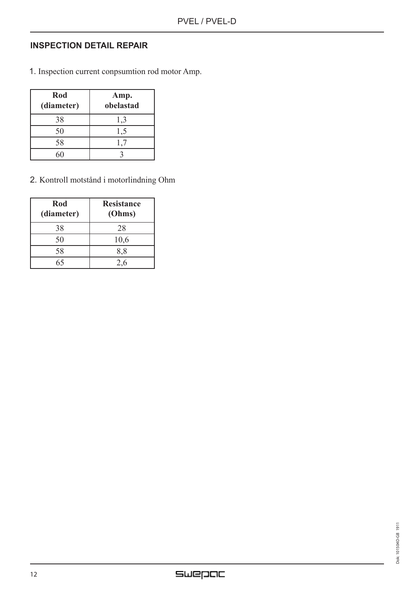# **INSPECTION DETAIL REPAIR**

1. Inspection current conpsumtion rod motor Amp.

| Rod<br>(diameter) | Amp.<br>obelastad |
|-------------------|-------------------|
| 38                | 1,3               |
| 50                | 1,5               |
| 58                |                   |
|                   |                   |

2. Kontroll motstånd i motorlindning Ohm

| Rod<br>(diameter) | <b>Resistance</b><br>(Ohms) |
|-------------------|-----------------------------|
| 38                | 28                          |
| 50                | 10,6                        |
| 58                | 8,8                         |
|                   | 2.6                         |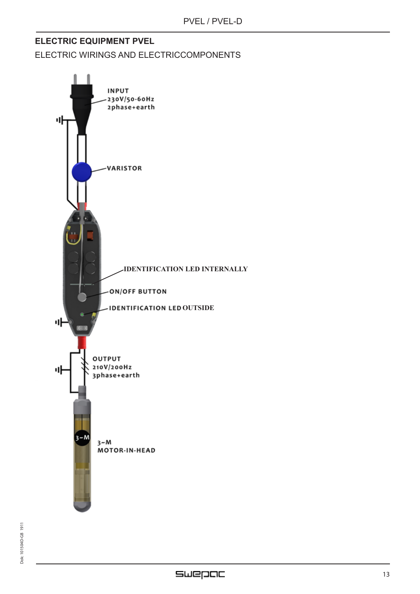# **ELECTRIC EQUIPMENT PVEL**

ELECTRIC WIRINGS AND ELECTRICCOMPONENTS

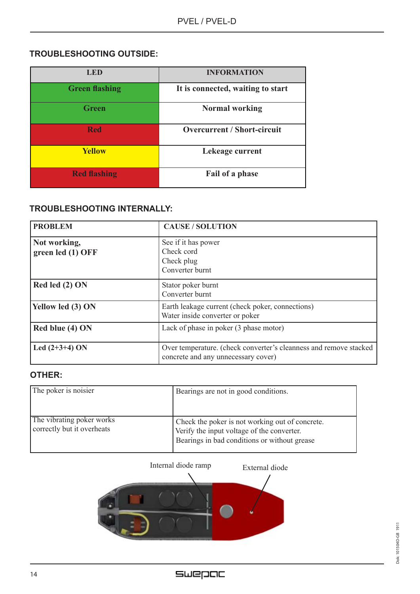# **TROUBLESHOOTING OUTSIDE:**

| <b>LED</b>            | <b>INFORMATION</b>                 |
|-----------------------|------------------------------------|
| <b>Green flashing</b> | It is connected, waiting to start  |
| <b>Green</b>          | <b>Normal working</b>              |
| <b>Red</b>            | <b>Overcurrent / Short-circuit</b> |
| <b>Yellow</b>         | Lekeage current                    |
| <b>Red flashing</b>   | Fail of a phase                    |

# **TROUBLESHOOTING INTERNALLY:**

| <b>PROBLEM</b>                    | <b>CAUSE / SOLUTION</b>                                                                                  |
|-----------------------------------|----------------------------------------------------------------------------------------------------------|
| Not working,<br>green led (1) OFF | See if it has power<br>Check cord<br>Check plug<br>Converter burnt                                       |
| Red led $(2)$ ON                  | Stator poker burnt<br>Converter burnt                                                                    |
| Yellow led (3) ON                 | Earth leakage current (check poker, connections)<br>Water inside converter or poker                      |
| Red blue (4) ON                   | Lack of phase in poker (3 phase motor)                                                                   |
| Led $(2+3+4)$ ON                  | Over temperature. (check converter's cleanness and remove stacked<br>concrete and any unnecessary cover) |

## **OTHER:**

| The poker is noisier                                    | Bearings are not in good conditions.                                                                                                          |
|---------------------------------------------------------|-----------------------------------------------------------------------------------------------------------------------------------------------|
| The vibrating poker works<br>correctly but it overheats | Check the poker is not working out of concrete.<br>Verify the input voltage of the converter.<br>Bearings in bad conditions or without grease |

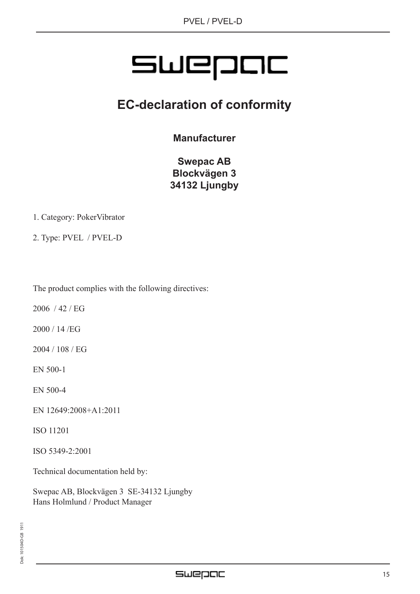# SWEPDE

# **EC-declaration of conformity**

**Manufacturer**

**Swepac AB Blockvägen 3 34132 Ljungby**

1. Category: PokerVibrator

2. Type: PVEL / PVEL-D

The product complies with the following directives:

2006 / 42 / EG

2000 / 14 /EG

2004 / 108 / EG

EN 500-1

EN 500-4

EN 12649:2008+A1:2011

ISO 11201

ISO 5349-2:2001

Technical documentation held by:

Swepac AB, Blockvägen 3 SE-34132 Ljungby Hans Holmlund / Product Manager